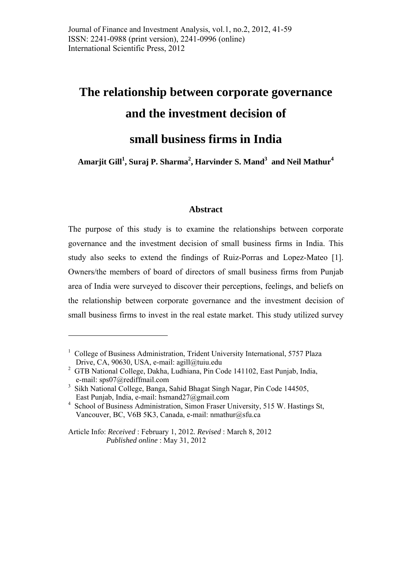# **The relationship between corporate governance and the investment decision of**

# **small business firms in India**

 $\boldsymbol{\mathrm{A}}$ marjit Gill $^1$ , Suraj P. Sharma $^2$ , Harvinder S. Mand $^3$  and Neil Mathur $^4$ 

# **Abstract**

The purpose of this study is to examine the relationships between corporate governance and the investment decision of small business firms in India. This study also seeks to extend the findings of Ruiz-Porras and Lopez-Mateo [1]. Owners/the members of board of directors of small business firms from Punjab area of India were surveyed to discover their perceptions, feelings, and beliefs on the relationship between corporate governance and the investment decision of small business firms to invest in the real estate market. This study utilized survey

1

<sup>&</sup>lt;sup>1</sup> College of Business Administration, Trident University International, 5757 Plaza Drive, CA, 90630, USA, e-mail: agill@tuiu.edu

<sup>&</sup>lt;sup>2</sup> GTB National College, Dakha, Ludhiana, Pin Code 141102, East Punjab, India, e-mail: sps07@rediffmail.com

<sup>&</sup>lt;sup>3</sup> Sikh National College, Banga, Sahid Bhagat Singh Nagar, Pin Code 144505, East Punjab, India, e-mail: hsmand27@gmail.com

<sup>4</sup> School of Business Administration, Simon Fraser University, 515 W. Hastings St, Vancouver, BC, V6B 5K3, Canada, e-mail: nmathur@sfu.ca

Article Info: *Received* : February 1, 2012*. Revised* : March 8, 2012 *Published online* : May 31, 2012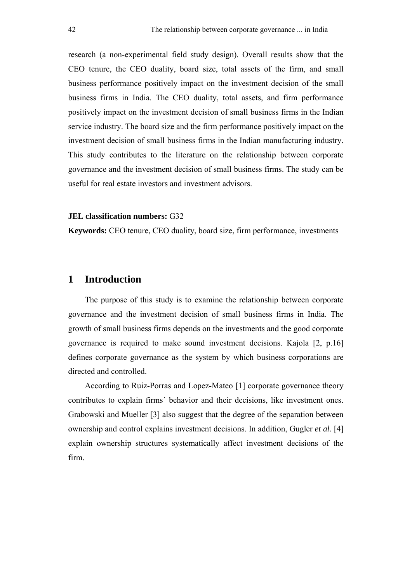research (a non-experimental field study design). Overall results show that the CEO tenure, the CEO duality, board size, total assets of the firm, and small business performance positively impact on the investment decision of the small business firms in India. The CEO duality, total assets, and firm performance positively impact on the investment decision of small business firms in the Indian service industry. The board size and the firm performance positively impact on the investment decision of small business firms in the Indian manufacturing industry. This study contributes to the literature on the relationship between corporate governance and the investment decision of small business firms. The study can be useful for real estate investors and investment advisors.

#### **JEL classification numbers:** G32

**Keywords:** CEO tenure, CEO duality, board size, firm performance, investments

# **1 Introduction**

The purpose of this study is to examine the relationship between corporate governance and the investment decision of small business firms in India. The growth of small business firms depends on the investments and the good corporate governance is required to make sound investment decisions. Kajola [2, p.16] defines corporate governance as the system by which business corporations are directed and controlled.

According to Ruiz-Porras and Lopez-Mateo [1] corporate governance theory contributes to explain firms´ behavior and their decisions, like investment ones. Grabowski and Mueller [3] also suggest that the degree of the separation between ownership and control explains investment decisions. In addition, Gugler *et al.* [4] explain ownership structures systematically affect investment decisions of the firm.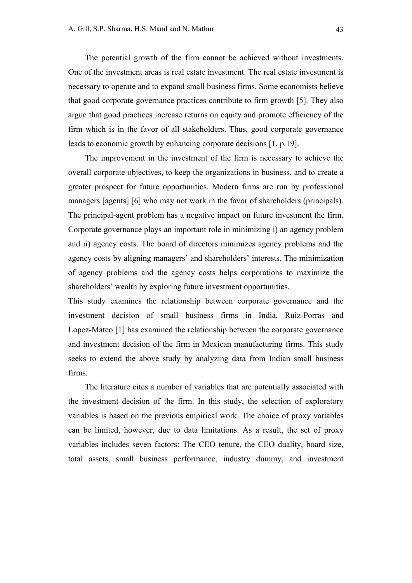The potential growth of the firm cannot be achieved without investments. One of the investment areas is real estate investment. The real estate investment is necessary to operate and to expand small business firms. Some economists believe that good corporate governance practices contribute to firm growth [5]. They also argue that good practices increase returns on equity and promote efficiency of the firm which is in the favor of all stakeholders. Thus, good corporate governance leads to economic growth by enhancing corporate decisions [1, p.19].

The improvement in the investment of the firm is necessary to achieve the overall corporate objectives, to keep the organizations in business, and to create a greater prospect for future opportunities. Modern firms are run by professional managers [agents] [6] who may not work in the favor of shareholders (principals). The principal-agent problem has a negative impact on future investment the firm. Corporate governance plays an important role in minimizing i) an agency problem and ii) agency costs. The board of directors minimizes agency problems and the agency costs by aligning managers' and shareholders' interests. The minimization of agency problems and the agency costs helps corporations to maximize the shareholders' wealth by exploring future investment opportunities.

This study examines the relationship between corporate governance and the investment decision of small business firms in India. Ruiz-Porras and Lopez-Mateo [1] has examined the relationship between the corporate governance and investment decision of the firm in Mexican manufacturing firms. This study seeks to extend the above study by analyzing data from Indian small business firms.

The literature cites a number of variables that are potentially associated with the investment decision of the firm. In this study, the selection of exploratory variables is based on the previous empirical work. The choice of proxy variables can be limited, however, due to data limitations. As a result, the set of proxy variables includes seven factors: The CEO tenure, the CEO duality, board size, total assets, small business performance, industry dummy, and investment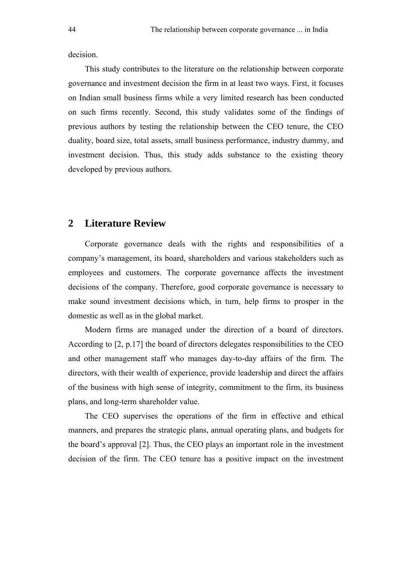decision.

This study contributes to the literature on the relationship between corporate governance and investment decision the firm in at least two ways. First, it focuses on Indian small business firms while a very limited research has been conducted on such firms recently. Second, this study validates some of the findings of previous authors by testing the relationship between the CEO tenure, the CEO duality, board size, total assets, small business performance, industry dummy, and investment decision. Thus, this study adds substance to the existing theory developed by previous authors.

# **2 Literature Review**

Corporate governance deals with the rights and responsibilities of a company's management, its board, shareholders and various stakeholders such as employees and customers. The corporate governance affects the investment decisions of the company. Therefore, good corporate governance is necessary to make sound investment decisions which, in turn, help firms to prosper in the domestic as well as in the global market.

Modern firms are managed under the direction of a board of directors. According to [2, p.17] the board of directors delegates responsibilities to the CEO and other management staff who manages day-to-day affairs of the firm. The directors, with their wealth of experience, provide leadership and direct the affairs of the business with high sense of integrity, commitment to the firm, its business plans, and long-term shareholder value.

The CEO supervises the operations of the firm in effective and ethical manners, and prepares the strategic plans, annual operating plans, and budgets for the board's approval [2]. Thus, the CEO plays an important role in the investment decision of the firm. The CEO tenure has a positive impact on the investment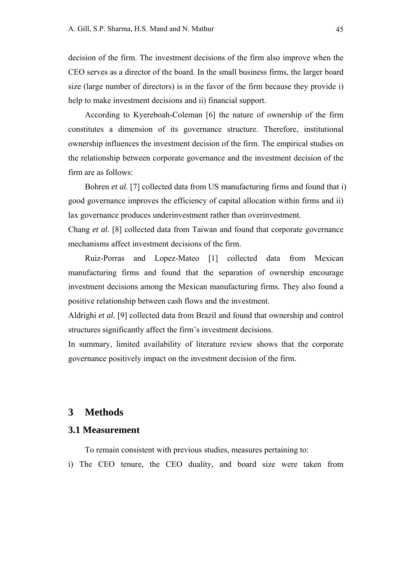decision of the firm. The investment decisions of the firm also improve when the CEO serves as a director of the board. In the small business firms, the larger board size (large number of directors) is in the favor of the firm because they provide i) help to make investment decisions and ii) financial support.

According to Kyereboah-Coleman [6] the nature of ownership of the firm constitutes a dimension of its governance structure. Therefore, institutional ownership influences the investment decision of the firm. The empirical studies on the relationship between corporate governance and the investment decision of the firm are as follows:

Bohren *et al.* [7] collected data from US manufacturing firms and found that i) good governance improves the efficiency of capital allocation within firms and ii) lax governance produces underinvestment rather than overinvestment.

Chang *et al.* [8] collected data from Taiwan and found that corporate governance mechanisms affect investment decisions of the firm.

Ruiz-Porras and Lopez-Mateo [1] collected data from Mexican manufacturing firms and found that the separation of ownership encourage investment decisions among the Mexican manufacturing firms. They also found a positive relationship between cash flows and the investment.

Aldrighi *et al.* [9] collected data from Brazil and found that ownership and control structures significantly affect the firm's investment decisions.

In summary, limited availability of literature review shows that the corporate governance positively impact on the investment decision of the firm.

# **3 Methods**

#### **3.1 Measurement**

To remain consistent with previous studies, measures pertaining to:

i) The CEO tenure, the CEO duality, and board size were taken from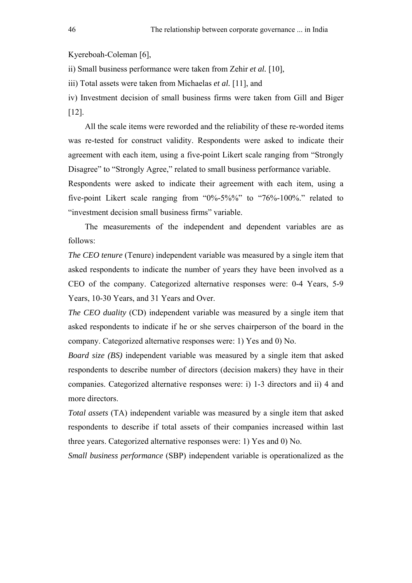Kyereboah-Coleman [6],

ii) Small business performance were taken from Zehir *et al.* [10],

iii) Total assets were taken from Michaelas *et al.* [11], and

iv) Investment decision of small business firms were taken from Gill and Biger [12].

All the scale items were reworded and the reliability of these re-worded items was re-tested for construct validity. Respondents were asked to indicate their agreement with each item, using a five-point Likert scale ranging from "Strongly Disagree" to "Strongly Agree," related to small business performance variable.

Respondents were asked to indicate their agreement with each item, using a five-point Likert scale ranging from "0%-5%%" to "76%-100%." related to "investment decision small business firms" variable.

The measurements of the independent and dependent variables are as follows:

*The CEO tenure* (Tenure) independent variable was measured by a single item that asked respondents to indicate the number of years they have been involved as a CEO of the company. Categorized alternative responses were: 0-4 Years, 5-9 Years, 10-30 Years, and 31 Years and Over.

*The CEO duality* (CD) independent variable was measured by a single item that asked respondents to indicate if he or she serves chairperson of the board in the company. Categorized alternative responses were: 1) Yes and 0) No.

*Board size (BS)* independent variable was measured by a single item that asked respondents to describe number of directors (decision makers) they have in their companies. Categorized alternative responses were: i) 1-3 directors and ii) 4 and more directors.

*Total assets* (TA) independent variable was measured by a single item that asked respondents to describe if total assets of their companies increased within last three years. Categorized alternative responses were: 1) Yes and 0) No.

*Small business performance* (SBP) independent variable is operationalized as the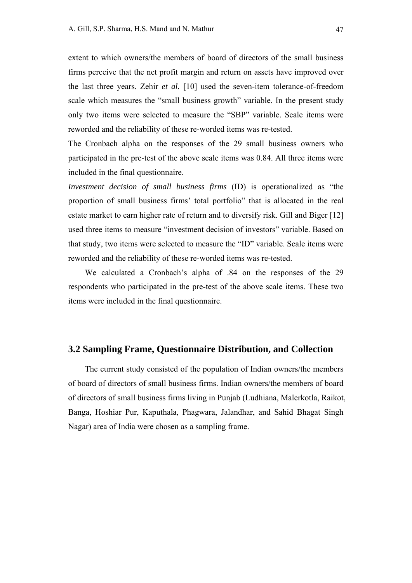extent to which owners/the members of board of directors of the small business firms perceive that the net profit margin and return on assets have improved over the last three years. Zehir *et al.* [10] used the seven-item tolerance-of-freedom scale which measures the "small business growth" variable. In the present study only two items were selected to measure the "SBP" variable. Scale items were reworded and the reliability of these re-worded items was re-tested.

The Cronbach alpha on the responses of the 29 small business owners who participated in the pre-test of the above scale items was 0.84. All three items were included in the final questionnaire.

*Investment decision of small business firms* (ID) is operationalized as "the proportion of small business firms' total portfolio" that is allocated in the real estate market to earn higher rate of return and to diversify risk. Gill and Biger [12] used three items to measure "investment decision of investors" variable. Based on that study, two items were selected to measure the "ID" variable. Scale items were reworded and the reliability of these re-worded items was re-tested.

We calculated a Cronbach's alpha of .84 on the responses of the 29 respondents who participated in the pre-test of the above scale items. These two items were included in the final questionnaire.

#### **3.2 Sampling Frame, Questionnaire Distribution, and Collection**

The current study consisted of the population of Indian owners/the members of board of directors of small business firms. Indian owners/the members of board of directors of small business firms living in Punjab (Ludhiana, Malerkotla, Raikot, Banga, Hoshiar Pur, Kaputhala, Phagwara, Jalandhar, and Sahid Bhagat Singh Nagar) area of India were chosen as a sampling frame.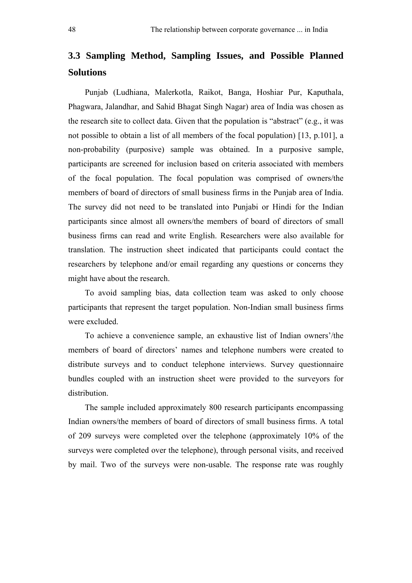# **3.3 Sampling Method, Sampling Issues, and Possible Planned Solutions**

Punjab (Ludhiana, Malerkotla, Raikot, Banga, Hoshiar Pur, Kaputhala, Phagwara, Jalandhar, and Sahid Bhagat Singh Nagar) area of India was chosen as the research site to collect data. Given that the population is "abstract" (e.g., it was not possible to obtain a list of all members of the focal population) [13, p.101], a non-probability (purposive) sample was obtained. In a purposive sample, participants are screened for inclusion based on criteria associated with members of the focal population. The focal population was comprised of owners/the members of board of directors of small business firms in the Punjab area of India. The survey did not need to be translated into Punjabi or Hindi for the Indian participants since almost all owners/the members of board of directors of small business firms can read and write English. Researchers were also available for translation. The instruction sheet indicated that participants could contact the researchers by telephone and/or email regarding any questions or concerns they might have about the research.

To avoid sampling bias, data collection team was asked to only choose participants that represent the target population. Non-Indian small business firms were excluded.

To achieve a convenience sample, an exhaustive list of Indian owners'/the members of board of directors' names and telephone numbers were created to distribute surveys and to conduct telephone interviews. Survey questionnaire bundles coupled with an instruction sheet were provided to the surveyors for distribution.

The sample included approximately 800 research participants encompassing Indian owners/the members of board of directors of small business firms. A total of 209 surveys were completed over the telephone (approximately 10% of the surveys were completed over the telephone), through personal visits, and received by mail. Two of the surveys were non-usable. The response rate was roughly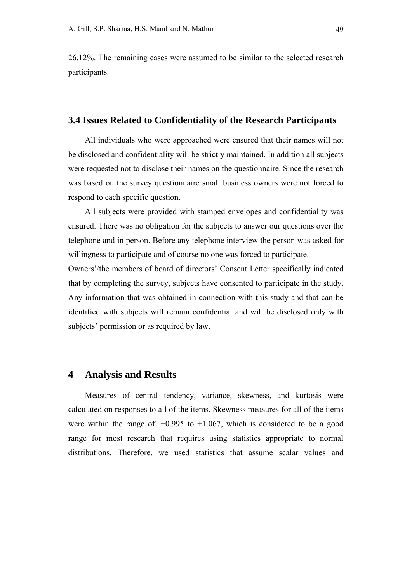26.12%. The remaining cases were assumed to be similar to the selected research participants.

#### **3.4 Issues Related to Confidentiality of the Research Participants**

All individuals who were approached were ensured that their names will not be disclosed and confidentiality will be strictly maintained. In addition all subjects were requested not to disclose their names on the questionnaire. Since the research was based on the survey questionnaire small business owners were not forced to respond to each specific question.

All subjects were provided with stamped envelopes and confidentiality was ensured. There was no obligation for the subjects to answer our questions over the telephone and in person. Before any telephone interview the person was asked for willingness to participate and of course no one was forced to participate.

Owners'/the members of board of directors' Consent Letter specifically indicated that by completing the survey, subjects have consented to participate in the study. Any information that was obtained in connection with this study and that can be identified with subjects will remain confidential and will be disclosed only with subjects' permission or as required by law.

# **4 Analysis and Results**

Measures of central tendency, variance, skewness, and kurtosis were calculated on responses to all of the items. Skewness measures for all of the items were within the range of:  $+0.995$  to  $+1.067$ , which is considered to be a good range for most research that requires using statistics appropriate to normal distributions. Therefore, we used statistics that assume scalar values and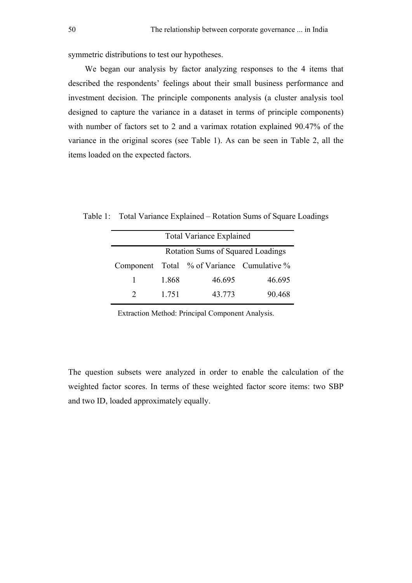symmetric distributions to test our hypotheses.

We began our analysis by factor analyzing responses to the 4 items that described the respondents' feelings about their small business performance and investment decision. The principle components analysis (a cluster analysis tool designed to capture the variance in a dataset in terms of principle components) with number of factors set to 2 and a varimax rotation explained 90.47% of the variance in the original scores (see Table 1). As can be seen in Table 2, all the items loaded on the expected factors.

Table 1: Total Variance Explained – Rotation Sums of Square Loadings

| <b>Total Variance Explained</b>   |       |                                            |        |  |  |  |  |
|-----------------------------------|-------|--------------------------------------------|--------|--|--|--|--|
| Rotation Sums of Squared Loadings |       |                                            |        |  |  |  |  |
|                                   |       | Component Total % of Variance Cumulative % |        |  |  |  |  |
| 1                                 | 1.868 | 46.695                                     | 46.695 |  |  |  |  |
| $\mathcal{D}$                     | 1 751 | 43.773                                     | 90.468 |  |  |  |  |

Extraction Method: Principal Component Analysis.

The question subsets were analyzed in order to enable the calculation of the weighted factor scores. In terms of these weighted factor score items: two SBP and two ID, loaded approximately equally.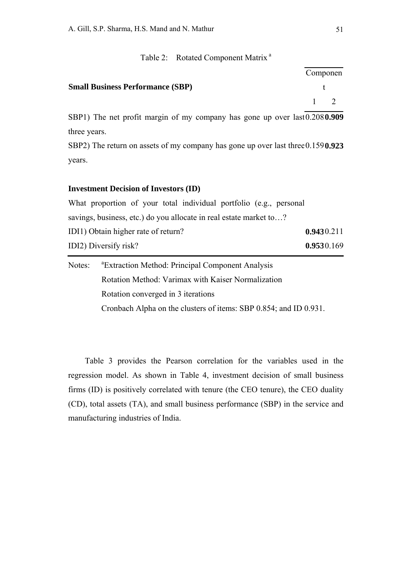#### Table 2: Rotated Component Matrix<sup>a</sup>

|                                         | Componen    |  |
|-----------------------------------------|-------------|--|
| <b>Small Business Performance (SBP)</b> |             |  |
|                                         | $1 \quad 2$ |  |

SBP1) The net profit margin of my company has gone up over last 0.208**0.909** three years.

SBP2) The return on assets of my company has gone up over last three 0.159**0.923** years.

#### **Investment Decision of Investors (ID)**

What proportion of your total individual portfolio (e.g., personal savings, business, etc.) do you allocate in real estate market to…? IDI1) Obtain higher rate of return? **0.943**0.211 IDI2) Diversify risk? **0.953**0.169

| Notes: | <sup>a</sup> Extraction Method: Principal Component Analysis      |
|--------|-------------------------------------------------------------------|
|        | Rotation Method: Varimax with Kaiser Normalization                |
|        | Rotation converged in 3 iterations                                |
|        | Cronbach Alpha on the clusters of items: SBP 0.854; and ID 0.931. |

Table 3 provides the Pearson correlation for the variables used in the regression model. As shown in Table 4, investment decision of small business firms (ID) is positively correlated with tenure (the CEO tenure), the CEO duality (CD), total assets (TA), and small business performance (SBP) in the service and manufacturing industries of India.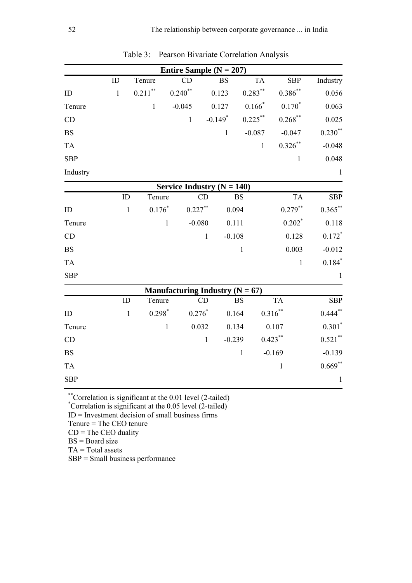|            |              |                          | Entire Sample ( $N = 207$ )         |                       |              |              |                      |                         |
|------------|--------------|--------------------------|-------------------------------------|-----------------------|--------------|--------------|----------------------|-------------------------|
|            | ID           | Tenure                   | CD                                  |                       | <b>BS</b>    | <b>TA</b>    | <b>SBP</b>           | Industry                |
| ID         | $\mathbf{1}$ | $0.211\sp{*}$            | $0.240^\ast{}^\ast$                 | 0.123                 |              | $0.283***$   | $0.386^{**}$         | 0.056                   |
| Tenure     |              | $\mathbf{1}$             | $-0.045$                            | 0.127                 |              | $0.166*$     | $0.170*$             | 0.063                   |
| CD         |              |                          | $\mathbf{1}$                        | $-0.149$ <sup>*</sup> |              | $0.225***$   | $0.268$ **           | 0.025                   |
| <b>BS</b>  |              |                          |                                     |                       | $\mathbf{1}$ | $-0.087$     | $-0.047$             | $0.230**$               |
| <b>TA</b>  |              |                          |                                     |                       |              | $\mathbf{1}$ | $0.326***$           | $-0.048$                |
| <b>SBP</b> |              |                          |                                     |                       |              |              | $\mathbf{1}$         | 0.048                   |
| Industry   |              |                          |                                     |                       |              |              |                      | $\mathbf{1}$            |
|            |              |                          | Service Industry $(N = 140)$        |                       |              |              |                      |                         |
|            | ID           | Tenure                   |                                     | CD                    | <b>BS</b>    |              | <b>TA</b>            | $\overline{\text{SBP}}$ |
| ID         |              | $0.176*$<br>$\mathbf{1}$ |                                     | $0.227***$            | 0.094        |              | $0.279***$           | $0.365***$              |
| Tenure     |              |                          | $\mathbf{1}$                        | $-0.080$              | 0.111        |              | $0.202$ <sup>*</sup> | 0.118                   |
| CD         |              |                          |                                     | $\mathbf{1}$          | $-0.108$     |              | 0.128                | $0.172*$                |
| <b>BS</b>  |              |                          |                                     |                       | $\mathbf{1}$ |              | 0.003                | $-0.012$                |
| <b>TA</b>  |              |                          |                                     |                       |              |              | $\mathbf{1}$         | $0.184*$                |
| <b>SBP</b> |              |                          |                                     |                       |              |              |                      | $\mathbf{1}$            |
|            |              |                          | Manufacturing Industry ( $N = 67$ ) |                       |              |              |                      |                         |
|            | ID           | Tenure                   |                                     | CD                    | <b>BS</b>    |              | <b>TA</b>            | <b>SBP</b>              |
| ID         |              | $0.298*$<br>$\mathbf{1}$ |                                     | $0.276*$              | 0.164        |              | $0.316***$           | $0.444***$              |
| Tenure     |              |                          | $\mathbf{1}$                        | 0.032                 | 0.134        |              | 0.107                | $0.301*$                |
| CD         |              |                          |                                     | $\mathbf{1}$          | $-0.239$     |              | $0.423***$           | $0.521$ **              |
| <b>BS</b>  |              |                          |                                     |                       | $\mathbf{1}$ |              | $-0.169$             | $-0.139$                |
| <b>TA</b>  |              |                          |                                     |                       |              |              | $\mathbf{1}$         | $0.669**$               |
| <b>SBP</b> |              |                          |                                     |                       |              |              |                      | $\mathbf{1}$            |

Table 3: Pearson Bivariate Correlation Analysis

\*\*Correlation is significant at the 0.01 level (2-tailed) \* Correlation is significant at the 0.05 level (2-tailed)

 $ID = Investment decision of small business firms$ 

Tenure = The CEO tenure

 $CD =$ The CEO duality

 $BS = Board size$ 

 $TA = Total$  assets

SBP = Small business performance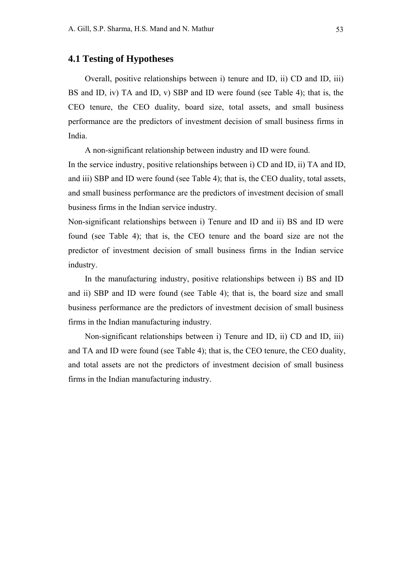## **4.1 Testing of Hypotheses**

Overall, positive relationships between i) tenure and ID, ii) CD and ID, iii) BS and ID, iv) TA and ID, v) SBP and ID were found (see Table 4); that is, the CEO tenure, the CEO duality, board size, total assets, and small business performance are the predictors of investment decision of small business firms in India.

A non-significant relationship between industry and ID were found.

In the service industry, positive relationships between i) CD and ID, ii) TA and ID, and iii) SBP and ID were found (see Table 4); that is, the CEO duality, total assets, and small business performance are the predictors of investment decision of small business firms in the Indian service industry.

Non-significant relationships between i) Tenure and ID and ii) BS and ID were found (see Table 4); that is, the CEO tenure and the board size are not the predictor of investment decision of small business firms in the Indian service industry.

In the manufacturing industry, positive relationships between i) BS and ID and ii) SBP and ID were found (see Table 4); that is, the board size and small business performance are the predictors of investment decision of small business firms in the Indian manufacturing industry.

Non-significant relationships between i) Tenure and ID, ii) CD and ID, iii) and TA and ID were found (see Table 4); that is, the CEO tenure, the CEO duality, and total assets are not the predictors of investment decision of small business firms in the Indian manufacturing industry.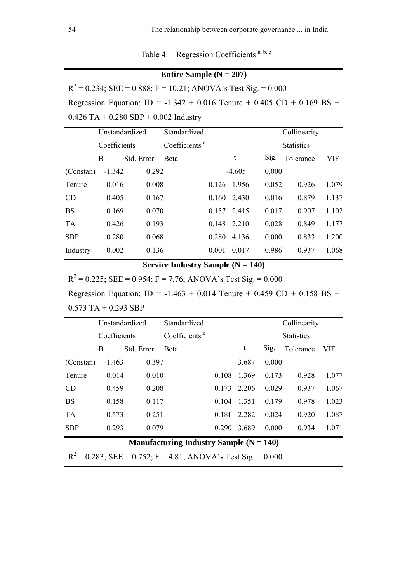Table 4: Regression Coefficients a, b, c

# **Entire Sample (N = 207)**

 $R<sup>2</sup> = 0.234$ ; SEE = 0.888; F = 10.21; ANOVA's Test Sig. = 0.000 Regression Equation: ID = -1.342 + 0.016 Tenure + 0.405 CD + 0.169 BS +  $0.426$  TA +  $0.280$  SBP +  $0.002$  Industry

|            | Unstandardized |            | Standardized              |             |             |       | Collinearity      |       |
|------------|----------------|------------|---------------------------|-------------|-------------|-------|-------------------|-------|
|            | Coefficients   |            | Coefficients <sup>c</sup> |             |             |       | <b>Statistics</b> |       |
|            | B              | Std. Error | <b>B</b> eta              |             | t           | Sig.  | Tolerance         | VIF   |
| (Constan)  | $-1.342$       | 0.292      |                           |             | $-4.605$    | 0.000 |                   |       |
| Tenure     | 0.016          | 0.008      |                           | 0.126       | 1.956       | 0.052 | 0.926             | 1.079 |
| CD         | 0.405          | 0.167      |                           | 0.160 2.430 |             | 0.016 | 0.879             | 1.137 |
| <b>BS</b>  | 0.169          | 0.070      |                           | 0.157       | 2.415       | 0.017 | 0.907             | 1.102 |
| <b>TA</b>  | 0.426          | 0.193      |                           |             | 0.148 2.210 | 0.028 | 0.849             | 1.177 |
| <b>SBP</b> | 0.280          | 0.068      |                           | 0.280       | 4.136       | 0.000 | 0.833             | 1.200 |
| Industry   | 0.002          | 0.136      |                           | 0.001       | 0.017       | 0.986 | 0.937             | 1.068 |
|            |                |            |                           |             |             |       |                   |       |

# **Service Industry Sample (N = 140)**

 $R<sup>2</sup> = 0.225$ ; SEE = 0.954; F = 7.76; ANOVA's Test Sig. = 0.000

Regression Equation: ID = -1.463 + 0.014 Tenure + 0.459 CD + 0.158 BS +  $0.573$  TA + 0.293 SBP

|            | Unstandardized |            | Standardized              |       |                   |       | Collinearity |            |
|------------|----------------|------------|---------------------------|-------|-------------------|-------|--------------|------------|
|            | Coefficients   |            | Coefficients <sup>c</sup> |       | <b>Statistics</b> |       |              |            |
|            | B              | Std. Error | <b>B</b> eta              |       | t                 | Sig.  | Tolerance    | <b>VIF</b> |
| (Constan)  | $-1.463$       | 0.397      |                           |       | $-3.687$          | 0.000 |              |            |
| Tenure     | 0.014          | 0.010      |                           | 0.108 | 1.369             | 0.173 | 0.928        | 1.077      |
| CD         | 0.459          | 0.208      |                           | 0.173 | 2.206             | 0.029 | 0.937        | 1.067      |
| <b>BS</b>  | 0.158          | 0.117      |                           | 0.104 | 1.351             | 0.179 | 0.978        | 1.023      |
| <b>TA</b>  | 0.573          | 0.251      |                           | 0.181 | 2.282             | 0.024 | 0.920        | 1.087      |
| <b>SBP</b> | 0.293          | 0.079      |                           | 0.290 | 3.689             | 0.000 | 0.934        | 1.071      |
|            |                |            |                           |       |                   |       |              |            |

# **Manufacturing Industry Sample (N = 140)**

 $R<sup>2</sup> = 0.283$ ; SEE = 0.752; F = 4.81; ANOVA's Test Sig. = 0.000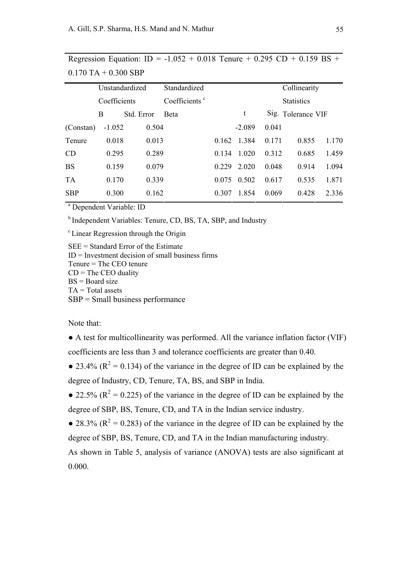|            | Unstandardized  |       | Standardized              |                   |          |                    | Collinearity |       |
|------------|-----------------|-------|---------------------------|-------------------|----------|--------------------|--------------|-------|
|            | Coefficients    |       | Coefficients <sup>c</sup> | <b>Statistics</b> |          |                    |              |       |
|            | Std. Error<br>B |       | <b>B</b> eta              |                   | t        | Sig. Tolerance VIF |              |       |
| (Constan)  | $-1.052$        | 0.504 |                           |                   | $-2.089$ | 0.041              |              |       |
| Tenure     | 0.018           | 0.013 |                           | 0.162             | 1.384    | 0.171              | 0.855        | 1.170 |
| CD         | 0.295           | 0.289 |                           | 0.134             | 1 0 2 0  | 0.312              | 0.685        | 1.459 |
| <b>BS</b>  | 0.159           | 0.079 |                           | 0 2 2 9           | 2 0 2 0  | 0.048              | 0.914        | 1.094 |
| <b>TA</b>  | 0.170           | 0.339 |                           | 0.075             | 0.502    | 0.617              | 0.535        | 1.871 |
| <b>SBP</b> | 0.300           | 0.162 |                           | 0.307             | 1.854    | 0.069              | 0.428        | 2.336 |
|            |                 |       |                           |                   |          |                    |              |       |

Regression Equation: ID =  $-1.052 + 0.018$  Tenure + 0.295 CD + 0.159 BS +  $0.170$  TA  $+$  0.300 SBP

<sup>a</sup> Dependent Variable: ID

b Independent Variables: Tenure, CD, BS, TA, SBP, and Industry

<sup>c</sup> Linear Regression through the Origin

SEE = Standard Error of the Estimate  $ID = Investment decision of small business firms$ Tenure = The CEO tenure  $CD = The CEO$  duality  $BS = Board size$  $TA = Total$  assets SBP = Small business performance

Note that:

● A test for multicollinearity was performed. All the variance inflation factor (VIF) coefficients are less than 3 and tolerance coefficients are greater than 0.40.

• 23.4% ( $R^2 = 0.134$ ) of the variance in the degree of ID can be explained by the degree of Industry, CD, Tenure, TA, BS, and SBP in India.

• 22.5% ( $R^2 = 0.225$ ) of the variance in the degree of ID can be explained by the degree of SBP, BS, Tenure, CD, and TA in the Indian service industry.

• 28.3% ( $R^2 = 0.283$ ) of the variance in the degree of ID can be explained by the degree of SBP, BS, Tenure, CD, and TA in the Indian manufacturing industry.

As shown in Table 5, analysis of variance (ANOVA) tests are also significant at 0.000.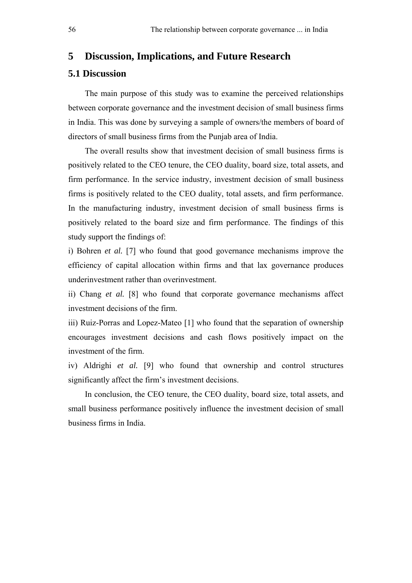### **5 Discussion, Implications, and Future Research**

# **5.1 Discussion**

The main purpose of this study was to examine the perceived relationships between corporate governance and the investment decision of small business firms in India. This was done by surveying a sample of owners/the members of board of directors of small business firms from the Punjab area of India.

The overall results show that investment decision of small business firms is positively related to the CEO tenure, the CEO duality, board size, total assets, and firm performance. In the service industry, investment decision of small business firms is positively related to the CEO duality, total assets, and firm performance. In the manufacturing industry, investment decision of small business firms is positively related to the board size and firm performance. The findings of this study support the findings of:

i) Bohren *et al.* [7] who found that good governance mechanisms improve the efficiency of capital allocation within firms and that lax governance produces underinvestment rather than overinvestment.

ii) Chang *et al.* [8] who found that corporate governance mechanisms affect investment decisions of the firm.

iii) Ruiz-Porras and Lopez-Mateo [1] who found that the separation of ownership encourages investment decisions and cash flows positively impact on the investment of the firm.

iv) Aldrighi *et al.* [9] who found that ownership and control structures significantly affect the firm's investment decisions.

In conclusion, the CEO tenure, the CEO duality, board size, total assets, and small business performance positively influence the investment decision of small business firms in India.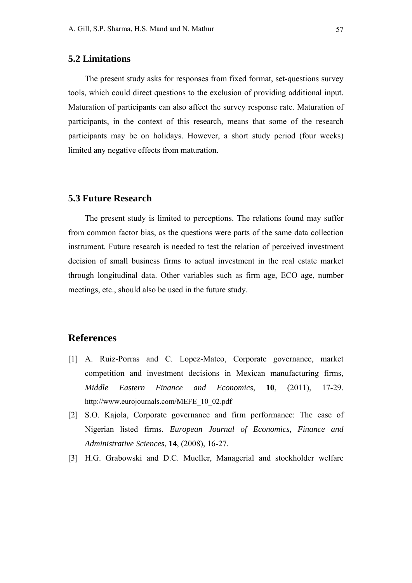# **5.2 Limitations**

The present study asks for responses from fixed format, set-questions survey tools, which could direct questions to the exclusion of providing additional input. Maturation of participants can also affect the survey response rate. Maturation of participants, in the context of this research, means that some of the research participants may be on holidays. However, a short study period (four weeks) limited any negative effects from maturation.

#### **5.3 Future Research**

The present study is limited to perceptions. The relations found may suffer from common factor bias, as the questions were parts of the same data collection instrument. Future research is needed to test the relation of perceived investment decision of small business firms to actual investment in the real estate market through longitudinal data. Other variables such as firm age, ECO age, number meetings, etc., should also be used in the future study.

# **References**

- [1] A. Ruiz-Porras and C. Lopez-Mateo, Corporate governance, market competition and investment decisions in Mexican manufacturing firms, *Middle Eastern Finance and Economics*, **10**, (2011), 17-29. http://www.eurojournals.com/MEFE\_10\_02.pdf
- [2] S.O. Kajola, Corporate governance and firm performance: The case of Nigerian listed firms. *European Journal of Economics, Finance and Administrative Sciences*, **14**, (2008), 16-27.
- [3] H.G. Grabowski and D.C. Mueller, Managerial and stockholder welfare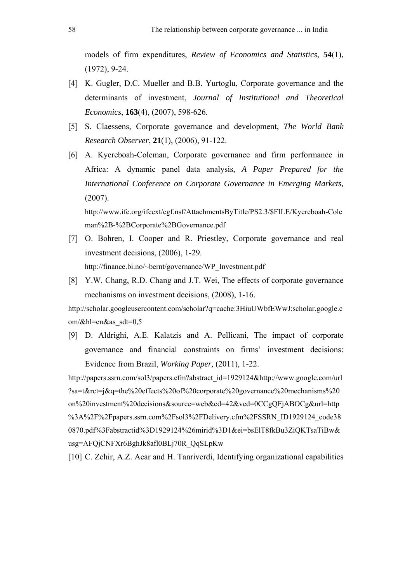models of firm expenditures, *Review of Economics and Statistics,* **54**(1), (1972), 9-24.

- [4] K. Gugler, D.C. Mueller and B.B. Yurtoglu, Corporate governance and the determinants of investment, *Journal of Institutional and Theoretical Economics*, **163**(4), (2007), 598-626.
- [5] S. Claessens, Corporate governance and development, *The World Bank Research Observer*, **21**(1), (2006), 91-122.
- [6] A. Kyereboah-Coleman, Corporate governance and firm performance in Africa: A dynamic panel data analysis, *A Paper Prepared for the International Conference on Corporate Governance in Emerging Markets,* (2007).

http://www.ifc.org/ifcext/cgf.nsf/AttachmentsByTitle/PS2.3/\$FILE/Kyereboah-Cole man%2B-%2BCorporate%2BGovernance.pdf

- [7] O. Bohren, I. Cooper and R. Priestley, Corporate governance and real investment decisions, (2006), 1-29. http://finance.bi.no/~bernt/governance/WP\_Investment.pdf
- [8] Y.W. Chang, R.D. Chang and J.T. Wei, The effects of corporate governance mechanisms on investment decisions, (2008), 1-16.

http://scholar.googleusercontent.com/scholar?q=cache:3HiuUWbfEWwJ:scholar.google.c om/&hl=en&as\_sdt=0,5

[9] D. Aldrighi, A.E. Kalatzis and A. Pellicani, The impact of corporate governance and financial constraints on firms' investment decisions: Evidence from Brazil, *Working Paper,* (2011), 1-22.

http://papers.ssrn.com/sol3/papers.cfm?abstract\_id=1929124&http://www.google.com/url ?sa=t&rct=j&q=the%20effects%20of%20corporate%20governance%20mechanisms%20 on%20investment%20decisions&source=web&cd=42&ved=0CCgQFjABOCg&url=http %3A%2F%2Fpapers.ssrn.com%2Fsol3%2FDelivery.cfm%2FSSRN\_ID1929124\_code38 0870.pdf%3Fabstractid%3D1929124%26mirid%3D1&ei=bsElT8fkBu3ZiQKTsaTiBw& usg=AFQjCNFXr6BghJk8afl0BLj70R\_QqSLpKw

[10] C. Zehir, A.Z. Acar and H. Tanriverdi, Identifying organizational capabilities